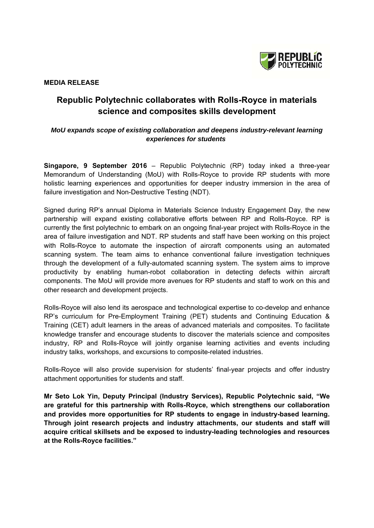

**MEDIA RELEASE** 

## **Republic Polytechnic collaborates with Rolls-Royce in materials science and composites skills development**

## *MoU expands scope of existing collaboration and deepens industry-relevant learning experiences for students*

**Singapore, 9 September 2016** – Republic Polytechnic (RP) today inked a three-year Memorandum of Understanding (MoU) with Rolls-Royce to provide RP students with more holistic learning experiences and opportunities for deeper industry immersion in the area of failure investigation and Non-Destructive Testing (NDT).

Signed during RP's annual Diploma in Materials Science Industry Engagement Day, the new partnership will expand existing collaborative efforts between RP and Rolls-Royce. RP is currently the first polytechnic to embark on an ongoing final-year project with Rolls-Royce in the area of failure investigation and NDT. RP students and staff have been working on this project with Rolls-Royce to automate the inspection of aircraft components using an automated scanning system. The team aims to enhance conventional failure investigation techniques through the development of a fully-automated scanning system. The system aims to improve productivity by enabling human-robot collaboration in detecting defects within aircraft components. The MoU will provide more avenues for RP students and staff to work on this and other research and development projects.

Rolls-Royce will also lend its aerospace and technological expertise to co-develop and enhance RP's curriculum for Pre-Employment Training (PET) students and Continuing Education & Training (CET) adult learners in the areas of advanced materials and composites. To facilitate knowledge transfer and encourage students to discover the materials science and composites industry, RP and Rolls-Royce will jointly organise learning activities and events including industry talks, workshops, and excursions to composite-related industries.

Rolls-Royce will also provide supervision for students' final-year projects and offer industry attachment opportunities for students and staff.

**Mr Seto Lok Yin, Deputy Principal (Industry Services), Republic Polytechnic said, "We are grateful for this partnership with Rolls-Royce, which strengthens our collaboration and provides more opportunities for RP students to engage in industry-based learning. Through joint research projects and industry attachments, our students and staff will acquire critical skillsets and be exposed to industry-leading technologies and resources at the Rolls-Royce facilities."**